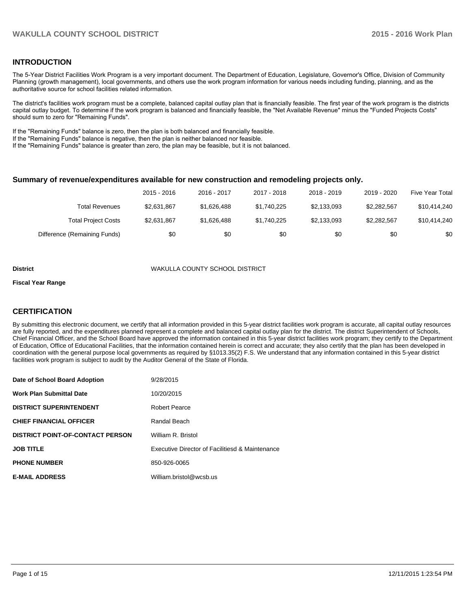#### **INTRODUCTION**

The 5-Year District Facilities Work Program is a very important document. The Department of Education, Legislature, Governor's Office, Division of Community Planning (growth management), local governments, and others use the work program information for various needs including funding, planning, and as the authoritative source for school facilities related information.

The district's facilities work program must be a complete, balanced capital outlay plan that is financially feasible. The first year of the work program is the districts capital outlay budget. To determine if the work program is balanced and financially feasible, the "Net Available Revenue" minus the "Funded Projects Costs" should sum to zero for "Remaining Funds".

If the "Remaining Funds" balance is zero, then the plan is both balanced and financially feasible.

If the "Remaining Funds" balance is negative, then the plan is neither balanced nor feasible.

If the "Remaining Funds" balance is greater than zero, the plan may be feasible, but it is not balanced.

#### **Summary of revenue/expenditures available for new construction and remodeling projects only.**

|                              | 2015 - 2016 | 2016 - 2017 | 2017 - 2018 | 2018 - 2019 | 2019 - 2020 | Five Year Total |
|------------------------------|-------------|-------------|-------------|-------------|-------------|-----------------|
| Total Revenues               | \$2.631.867 | \$1.626.488 | \$1,740,225 | \$2.133.093 | \$2.282.567 | \$10.414.240    |
| <b>Total Project Costs</b>   | \$2,631,867 | \$1,626,488 | \$1,740,225 | \$2,133,093 | \$2,282,567 | \$10,414,240    |
| Difference (Remaining Funds) | \$0         | \$0         | \$0         | \$0         | \$0         | \$0             |

#### **District** WAKULLA COUNTY SCHOOL DISTRICT

#### **Fiscal Year Range**

## **CERTIFICATION**

By submitting this electronic document, we certify that all information provided in this 5-year district facilities work program is accurate, all capital outlay resources are fully reported, and the expenditures planned represent a complete and balanced capital outlay plan for the district. The district Superintendent of Schools, Chief Financial Officer, and the School Board have approved the information contained in this 5-year district facilities work program; they certify to the Department of Education, Office of Educational Facilities, that the information contained herein is correct and accurate; they also certify that the plan has been developed in coordination with the general purpose local governments as required by §1013.35(2) F.S. We understand that any information contained in this 5-year district facilities work program is subject to audit by the Auditor General of the State of Florida.

| Date of School Board Adoption           | 9/28/2015                                       |
|-----------------------------------------|-------------------------------------------------|
| <b>Work Plan Submittal Date</b>         | 10/20/2015                                      |
| <b>DISTRICT SUPERINTENDENT</b>          | <b>Robert Pearce</b>                            |
| <b>CHIEF FINANCIAL OFFICER</b>          | Randal Beach                                    |
| <b>DISTRICT POINT-OF-CONTACT PERSON</b> | William R. Bristol                              |
| <b>JOB TITLE</b>                        | Executive Director of Facilitiesd & Maintenance |
| <b>PHONE NUMBER</b>                     | 850-926-0065                                    |
| <b>E-MAIL ADDRESS</b>                   | William.bristol@wcsb.us                         |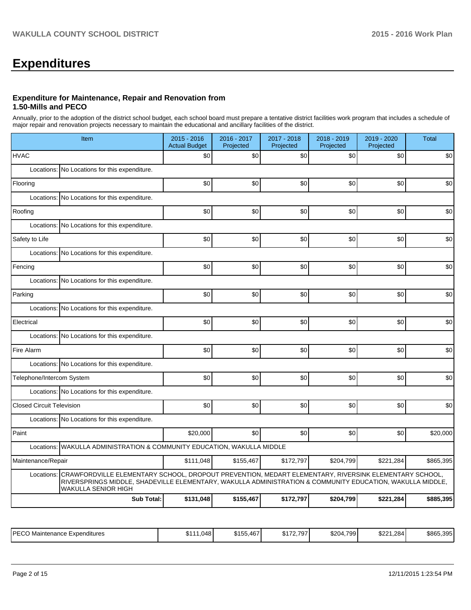# **Expenditures**

#### **Expenditure for Maintenance, Repair and Renovation from 1.50-Mills and PECO**

Annually, prior to the adoption of the district school budget, each school board must prepare a tentative district facilities work program that includes a schedule of major repair and renovation projects necessary to maintain the educational and ancillary facilities of the district.

| Item                                                                                                                                                                                                                                                          | $2015 - 2016$<br><b>Actual Budget</b> | 2016 - 2017<br>Projected | 2017 - 2018<br>Projected | 2018 - 2019<br>Projected | 2019 - 2020<br>Projected | <b>Total</b> |
|---------------------------------------------------------------------------------------------------------------------------------------------------------------------------------------------------------------------------------------------------------------|---------------------------------------|--------------------------|--------------------------|--------------------------|--------------------------|--------------|
| <b>HVAC</b>                                                                                                                                                                                                                                                   | \$0                                   | \$0                      | \$0                      | \$0                      | \$0                      | \$0          |
| Locations:<br>No Locations for this expenditure.                                                                                                                                                                                                              |                                       |                          |                          |                          |                          |              |
| Flooring                                                                                                                                                                                                                                                      | \$0                                   | \$0                      | \$0                      | \$0                      | \$0                      | \$0          |
| Locations: No Locations for this expenditure.                                                                                                                                                                                                                 |                                       |                          |                          |                          |                          |              |
| Roofing                                                                                                                                                                                                                                                       | \$0                                   | \$0                      | \$0                      | \$0                      | \$0                      | \$0          |
| Locations:<br>No Locations for this expenditure.                                                                                                                                                                                                              |                                       |                          |                          |                          |                          |              |
| Safety to Life                                                                                                                                                                                                                                                | \$0                                   | \$0                      | \$0                      | \$0                      | \$0                      | \$0          |
| Locations: No Locations for this expenditure.                                                                                                                                                                                                                 |                                       |                          |                          |                          |                          |              |
| Fencing                                                                                                                                                                                                                                                       | \$0                                   | \$0                      | \$0                      | \$0                      | \$0                      | \$0          |
| Locations: No Locations for this expenditure.                                                                                                                                                                                                                 |                                       |                          |                          |                          |                          |              |
| Parking                                                                                                                                                                                                                                                       | \$0                                   | \$0                      | \$0                      | \$0                      | \$0                      | \$0          |
| Locations: No Locations for this expenditure.                                                                                                                                                                                                                 |                                       |                          |                          |                          |                          |              |
| Electrical                                                                                                                                                                                                                                                    | \$0                                   | \$0                      | \$0                      | \$0                      | \$0                      | \$0          |
| Locations:<br>No Locations for this expenditure.                                                                                                                                                                                                              |                                       |                          |                          |                          |                          |              |
| Fire Alarm                                                                                                                                                                                                                                                    | \$0                                   | \$0                      | \$0                      | \$0                      | \$0                      | \$0          |
| Locations: No Locations for this expenditure.                                                                                                                                                                                                                 |                                       |                          |                          |                          |                          |              |
| Telephone/Intercom System                                                                                                                                                                                                                                     | \$0                                   | \$0                      | \$0                      | \$0                      | \$0                      | \$0          |
| Locations: No Locations for this expenditure.                                                                                                                                                                                                                 |                                       |                          |                          |                          |                          |              |
| <b>Closed Circuit Television</b>                                                                                                                                                                                                                              | \$0                                   | \$0                      | \$0                      | \$0                      | \$0                      | \$0          |
| Locations: No Locations for this expenditure.                                                                                                                                                                                                                 |                                       |                          |                          |                          |                          |              |
| Paint                                                                                                                                                                                                                                                         | \$20,000                              | $\frac{1}{20}$           | \$0                      | \$0                      | \$0                      | \$20,000     |
| Locations: WAKULLA ADMINISTRATION & COMMUNITY EDUCATION, WAKULLA MIDDLE                                                                                                                                                                                       |                                       |                          |                          |                          |                          |              |
| Maintenance/Repair                                                                                                                                                                                                                                            | \$111,048                             | \$155,467                | \$172,797                | \$204,799                | \$221,284                | \$865,395    |
| CRAWFORDVILLE ELEMENTARY SCHOOL, DROPOUT PREVENTION, MEDART ELEMENTARY, RIVERSINK ELEMENTARY SCHOOL,<br>Locations:<br>RIVERSPRINGS MIDDLE, SHADEVILLE ELEMENTARY, WAKULLA ADMINISTRATION & COMMUNITY EDUCATION, WAKULLA MIDDLE,<br><b>WAKULLA SENIOR HIGH</b> |                                       |                          |                          |                          |                          |              |
| <b>Sub Total:</b>                                                                                                                                                                                                                                             | \$131,048                             | \$155,467                | \$172,797                | \$204,799                | \$221,284                | \$885,395    |

| <b>IPECO</b><br>) Maintenance Expenditures | <b>ሮ</b> 4 4<br>ا 048. | \$155.467 | \$172.797 | \$204.799 | \$221.284 | \$865,395 |
|--------------------------------------------|------------------------|-----------|-----------|-----------|-----------|-----------|
|--------------------------------------------|------------------------|-----------|-----------|-----------|-----------|-----------|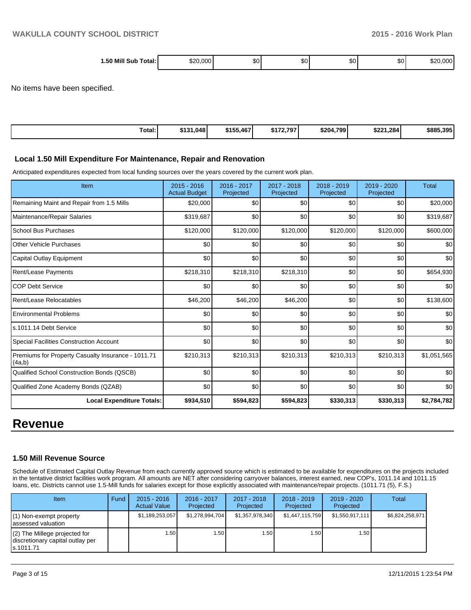| Total: I<br>1.50 Mill Sub | \$20.000 | \$0 <sub>1</sub> | ന<br>- JU | JU. | œ۵<br>æи | .ኮ⁄ |
|---------------------------|----------|------------------|-----------|-----|----------|-----|
|                           |          |                  |           |     |          |     |

No items have been specified.

| Total: | \$131.048 | \$155,467 | \$172.797 | \$204.799 | \$221.284 | \$885,395 |
|--------|-----------|-----------|-----------|-----------|-----------|-----------|
|        |           |           |           |           |           |           |

#### **Local 1.50 Mill Expenditure For Maintenance, Repair and Renovation**

Anticipated expenditures expected from local funding sources over the years covered by the current work plan.

| Item                                                         | $2015 - 2016$<br><b>Actual Budget</b> | 2016 - 2017<br>Projected | 2017 - 2018<br>Projected | 2018 - 2019<br>Projected | 2019 - 2020<br>Projected | Total       |
|--------------------------------------------------------------|---------------------------------------|--------------------------|--------------------------|--------------------------|--------------------------|-------------|
| Remaining Maint and Repair from 1.5 Mills                    | \$20,000                              | \$0                      | \$0                      | \$0                      | \$0                      | \$20,000    |
| Maintenance/Repair Salaries                                  | \$319,687                             | \$0                      | \$0                      | \$0                      | \$0                      | \$319,687   |
| <b>School Bus Purchases</b>                                  | \$120,000                             | \$120,000                | \$120,000                | \$120,000                | \$120,000                | \$600,000   |
| Other Vehicle Purchases                                      | \$0                                   | \$0                      | \$0                      | \$0                      | \$0                      | \$0         |
| Capital Outlay Equipment                                     | \$0                                   | \$0                      | \$0                      | \$0                      | \$0                      | \$0         |
| Rent/Lease Payments                                          | \$218,310                             | \$218,310                | \$218,310                | \$0                      | \$0                      | \$654,930   |
| <b>COP Debt Service</b>                                      | \$0                                   | \$0                      | \$0                      | \$0                      | \$0                      | \$0         |
| Rent/Lease Relocatables                                      | \$46,200                              | \$46,200                 | \$46,200                 | \$0                      | \$0                      | \$138,600   |
| <b>Environmental Problems</b>                                | \$0                                   | \$0                      | \$0                      | \$0                      | \$0                      | \$0         |
| ls.1011.14 Debt Service                                      | \$0                                   | \$0                      | \$0                      | \$0                      | \$0                      | \$0         |
| <b>Special Facilities Construction Account</b>               | \$0                                   | \$0                      | \$0                      | \$0                      | \$0                      | \$0         |
| Premiums for Property Casualty Insurance - 1011.71<br>(4a,b) | \$210,313                             | \$210,313                | \$210,313                | \$210,313                | \$210,313                | \$1,051,565 |
| Qualified School Construction Bonds (QSCB)                   | \$0                                   | \$0                      | \$0                      | \$0                      | \$0                      | \$0         |
| Qualified Zone Academy Bonds (QZAB)                          | \$0                                   | \$0                      | \$0                      | \$0                      | \$0                      | \$0         |
| <b>Local Expenditure Totals:</b>                             | \$934,510                             | \$594,823                | \$594,823                | \$330,313                | \$330,313                | \$2,784,782 |

# **Revenue**

## **1.50 Mill Revenue Source**

Schedule of Estimated Capital Outlay Revenue from each currently approved source which is estimated to be available for expenditures on the projects included in the tentative district facilities work program. All amounts are NET after considering carryover balances, interest earned, new COP's, 1011.14 and 1011.15 loans, etc. Districts cannot use 1.5-Mill funds for salaries except for those explicitly associated with maintenance/repair projects. (1011.71 (5), F.S.)

| <b>Item</b>                                                                     | Fund | $2015 - 2016$<br><b>Actual Value</b> | 2016 - 2017<br>Projected | 2017 - 2018<br>Projected | $2018 - 2019$<br>Projected | $2019 - 2020$<br>Projected | Total           |
|---------------------------------------------------------------------------------|------|--------------------------------------|--------------------------|--------------------------|----------------------------|----------------------------|-----------------|
| (1) Non-exempt property<br>lassessed valuation                                  |      | \$1,189,253,057                      | \$1,278,994,704          | \$1,357,978,340          | \$1,447,115,759            | \$1,550,917,111            | \$6.824.258.971 |
| (2) The Millege projected for<br>discretionary capital outlay per<br>ls.1011.71 |      | 1.50                                 | . 50 I                   | .50 <sub>1</sub>         | .50                        | 1.50 l                     |                 |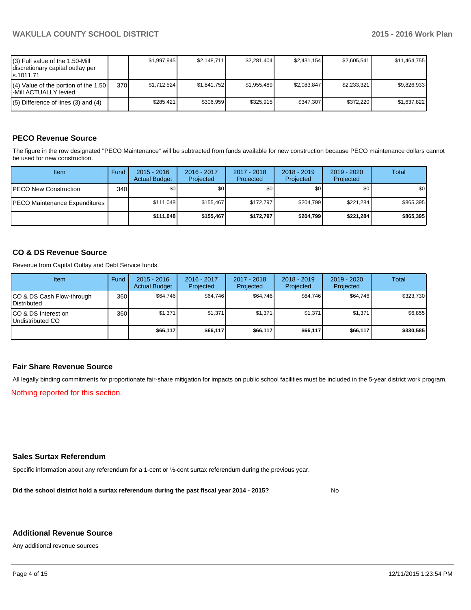| (3) Full value of the 1.50-Mill<br>discretionary capital outlay per<br>ls.1011.71 |     | \$1.997.945 | \$2.148.711 | \$2.281.404 | \$2.431.154 | \$2.605.541 | \$11,464,755 |
|-----------------------------------------------------------------------------------|-----|-------------|-------------|-------------|-------------|-------------|--------------|
| $(4)$ Value of the portion of the 1.50<br>l-Mill ACTUALLY levied                  | 370 | \$1.712.524 | \$1.841.752 | \$1.955.489 | \$2.083.847 | \$2.233.321 | \$9.826.933  |
| $(5)$ Difference of lines (3) and (4)                                             |     | \$285.421   | \$306.959   | \$325.915   | \$347.307   | \$372.220   | \$1,637,822  |

# **PECO Revenue Source**

The figure in the row designated "PECO Maintenance" will be subtracted from funds available for new construction because PECO maintenance dollars cannot be used for new construction.

| <b>Item</b>                           | Fund | $2015 - 2016$<br><b>Actual Budget</b> | 2016 - 2017<br>Projected | 2017 - 2018<br>Projected | $2018 - 2019$<br>Projected | $2019 - 2020$<br>Projected | Total            |
|---------------------------------------|------|---------------------------------------|--------------------------|--------------------------|----------------------------|----------------------------|------------------|
| <b>PECO New Construction</b>          | 340  | \$0                                   | \$0                      | \$0                      | \$0                        | \$0 <sub>1</sub>           | \$0 <sub>1</sub> |
| <b>IPECO Maintenance Expenditures</b> |      | \$111.048                             | \$155,467                | \$172.797                | \$204.799                  | \$221.284                  | \$865,395        |
|                                       |      | \$111.048                             | \$155,467                | \$172,797                | \$204.799                  | \$221,284                  | \$865,395        |

## **CO & DS Revenue Source**

Revenue from Capital Outlay and Debt Service funds.

| Item                                               | Fund | $2015 - 2016$<br><b>Actual Budget</b> | 2016 - 2017<br>Projected | $2017 - 2018$<br>Projected | $2018 - 2019$<br>Projected | $2019 - 2020$<br>Projected | Total     |
|----------------------------------------------------|------|---------------------------------------|--------------------------|----------------------------|----------------------------|----------------------------|-----------|
| ICO & DS Cash Flow-through<br><b>I</b> Distributed | 360  | \$64,746                              | \$64,746                 | \$64.746                   | \$64.746                   | \$64,746                   | \$323,730 |
| ICO & DS Interest on<br>Undistributed CO           | 360  | \$1,371                               | \$1,371                  | \$1,371                    | \$1,371                    | \$1,371                    | \$6,855   |
|                                                    |      | \$66,117                              | \$66.117                 | \$66,117                   | \$66,117                   | \$66,117                   | \$330,585 |

## **Fair Share Revenue Source**

All legally binding commitments for proportionate fair-share mitigation for impacts on public school facilities must be included in the 5-year district work program.

Nothing reported for this section.

### **Sales Surtax Referendum**

Specific information about any referendum for a 1-cent or ½-cent surtax referendum during the previous year.

**Did the school district hold a surtax referendum during the past fiscal year 2014 - 2015?**

No

#### **Additional Revenue Source**

Any additional revenue sources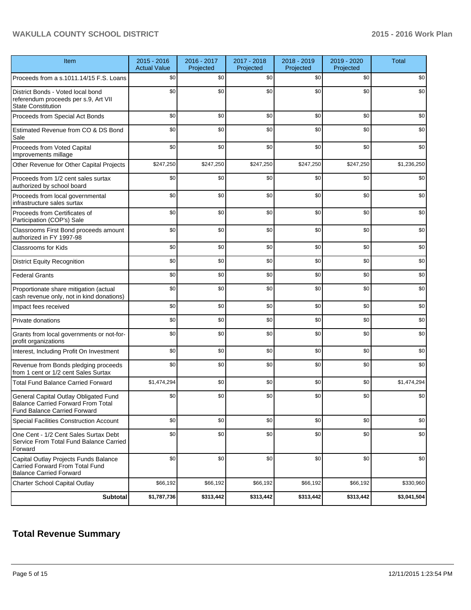# **WAKULLA COUNTY SCHOOL DISTRICT 2015 - 2016 Work Plan**

| Item                                                                                                               | $2015 - 2016$<br><b>Actual Value</b> | 2016 - 2017<br>Projected | 2017 - 2018<br>Projected | 2018 - 2019<br>Projected | 2019 - 2020<br>Projected | <b>Total</b> |
|--------------------------------------------------------------------------------------------------------------------|--------------------------------------|--------------------------|--------------------------|--------------------------|--------------------------|--------------|
| Proceeds from a s.1011.14/15 F.S. Loans                                                                            | \$0                                  | \$0                      | \$0                      | \$0                      | \$0                      | \$0          |
| District Bonds - Voted local bond<br>referendum proceeds per s.9, Art VII<br><b>State Constitution</b>             | \$0                                  | \$0                      | \$0                      | \$0                      | \$0                      | \$0          |
| Proceeds from Special Act Bonds                                                                                    | \$0                                  | \$0                      | \$0                      | \$0                      | \$0                      | \$0          |
| Estimated Revenue from CO & DS Bond<br>Sale                                                                        | \$0                                  | \$0                      | \$0                      | \$0                      | \$0                      | \$0          |
| Proceeds from Voted Capital<br>Improvements millage                                                                | \$0                                  | \$0                      | \$0                      | \$0                      | \$0                      | \$0          |
| Other Revenue for Other Capital Projects                                                                           | \$247,250                            | \$247,250                | \$247,250                | \$247,250                | \$247,250                | \$1,236,250  |
| Proceeds from 1/2 cent sales surtax<br>authorized by school board                                                  | \$0                                  | \$0                      | \$0                      | \$0                      | \$0                      | \$0          |
| Proceeds from local governmental<br>infrastructure sales surtax                                                    | \$0                                  | \$0                      | \$0                      | \$0                      | \$0                      | \$0          |
| Proceeds from Certificates of<br>Participation (COP's) Sale                                                        | \$0                                  | \$0                      | \$0                      | \$0                      | \$0                      | \$0          |
| Classrooms First Bond proceeds amount<br>authorized in FY 1997-98                                                  | \$0                                  | \$0                      | \$0                      | \$0                      | \$0                      | \$0          |
| <b>Classrooms for Kids</b>                                                                                         | \$0                                  | \$0                      | \$0                      | \$0                      | \$0                      | \$0          |
| <b>District Equity Recognition</b>                                                                                 | \$0                                  | \$0                      | \$0                      | \$0                      | \$0                      | \$0          |
| <b>Federal Grants</b>                                                                                              | \$0                                  | \$0                      | \$0                      | \$0                      | \$0                      | \$0          |
| Proportionate share mitigation (actual<br>cash revenue only, not in kind donations)                                | \$0                                  | \$0                      | \$0                      | \$0                      | \$0                      | \$0          |
| Impact fees received                                                                                               | \$0                                  | \$0                      | \$0                      | \$0                      | \$0                      | \$0          |
| Private donations                                                                                                  | \$0                                  | \$0                      | \$0                      | \$0                      | \$0                      | \$0          |
| Grants from local governments or not-for-<br>profit organizations                                                  | \$0                                  | \$0                      | \$0                      | \$0                      | \$0                      | \$0          |
| Interest, Including Profit On Investment                                                                           | \$0                                  | \$0                      | \$0                      | \$0                      | \$0                      | \$0          |
| Revenue from Bonds pledging proceeds<br>from 1 cent or 1/2 cent Sales Surtax                                       | \$0                                  | \$0                      | \$0                      | \$0                      | \$0                      | \$0          |
| <b>Total Fund Balance Carried Forward</b>                                                                          | \$1,474,294                          | \$0                      | \$0                      | \$0                      | \$0                      | \$1,474,294  |
| General Capital Outlay Obligated Fund<br>Balance Carried Forward From Total<br><b>Fund Balance Carried Forward</b> | \$0                                  | \$0                      | \$0                      | \$0                      | \$0                      | \$0          |
| Special Facilities Construction Account                                                                            | \$0                                  | \$0                      | \$0                      | \$0                      | \$0                      | \$0          |
| One Cent - 1/2 Cent Sales Surtax Debt<br>Service From Total Fund Balance Carried<br>Forward                        | \$0                                  | \$0                      | \$0                      | \$0                      | \$0                      | \$0          |
| Capital Outlay Projects Funds Balance<br>Carried Forward From Total Fund<br><b>Balance Carried Forward</b>         | \$0                                  | \$0                      | \$0                      | \$0                      | \$0                      | \$0          |
| Charter School Capital Outlay                                                                                      | \$66,192                             | \$66,192                 | \$66,192                 | \$66,192                 | \$66,192                 | \$330,960    |
| <b>Subtotal</b>                                                                                                    | \$1,787,736                          | \$313,442                | \$313,442                | \$313,442                | \$313,442                | \$3,041,504  |

# **Total Revenue Summary**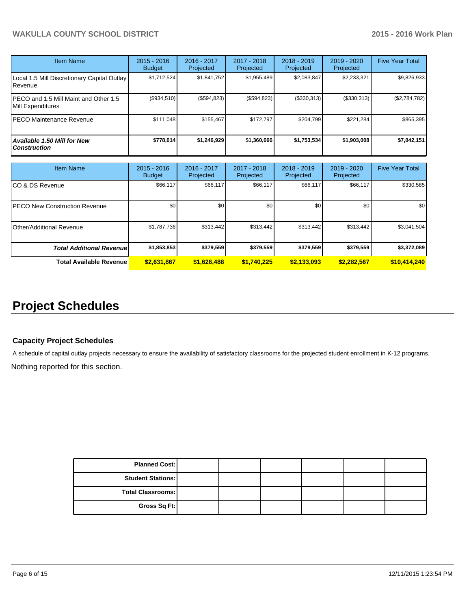# **WAKULLA COUNTY SCHOOL DISTRICT 2015 - 2016 Work Plan**

| <b>Item Name</b>                                           | $2015 - 2016$<br><b>Budget</b> | $2016 - 2017$<br>Projected | $2017 - 2018$<br>Projected | $2018 - 2019$<br>Projected | $2019 - 2020$<br>Projected | <b>Five Year Total</b> |
|------------------------------------------------------------|--------------------------------|----------------------------|----------------------------|----------------------------|----------------------------|------------------------|
| Local 1.5 Mill Discretionary Capital Outlay<br>Revenue     | \$1,712,524                    | \$1,841,752                | \$1,955,489                | \$2,083,847                | \$2,233,321                | \$9,826,933            |
| PECO and 1.5 Mill Maint and Other 1.5<br>Mill Expenditures | (\$934,510)                    | (\$594,823)                | (S594, 823)                | (\$330,313)                | (\$330,313)                | (\$2,784,782)          |
| <b>PECO Maintenance Revenue</b>                            | \$111,048                      | \$155.467                  | \$172.797                  | \$204.799                  | \$221,284                  | \$865,395              |
| Available 1.50 Mill for New<br><b>Construction</b>         | \$778.014                      | \$1,246,929                | \$1,360,666                | \$1,753,534                | \$1,903,008                | \$7,042,151            |

| <b>Item Name</b>                      | $2015 - 2016$<br><b>Budget</b> | 2016 - 2017<br>Projected | 2017 - 2018<br>Projected | $2018 - 2019$<br>Projected | 2019 - 2020<br>Projected | <b>Five Year Total</b> |
|---------------------------------------|--------------------------------|--------------------------|--------------------------|----------------------------|--------------------------|------------------------|
| ICO & DS Revenue                      | \$66,117                       | \$66,117                 | \$66,117                 | \$66,117                   | \$66,117                 | \$330,585              |
| <b>IPECO New Construction Revenue</b> | \$0                            | \$0                      | \$0                      | \$0                        | \$0                      | \$0                    |
| IOther/Additional Revenue             | \$1,787,736                    | \$313,442                | \$313.442                | \$313,442                  | \$313,442                | \$3,041,504            |
| <b>Total Additional Revenuel</b>      | \$1,853,853                    | \$379,559                | \$379,559                | \$379,559                  | \$379,559                | \$3,372,089            |
| <b>Total Available Revenue</b>        | \$2,631,867                    | \$1,626,488              | \$1,740,225              | \$2,133,093                | \$2,282,567              | \$10,414,240           |

# **Project Schedules**

## **Capacity Project Schedules**

A schedule of capital outlay projects necessary to ensure the availability of satisfactory classrooms for the projected student enrollment in K-12 programs.

Nothing reported for this section.

| <b>Planned Cost:</b>     |  |  |  |
|--------------------------|--|--|--|
|                          |  |  |  |
| <b>Student Stations:</b> |  |  |  |
| <b>Total Classrooms:</b> |  |  |  |
| Gross Sq Ft:             |  |  |  |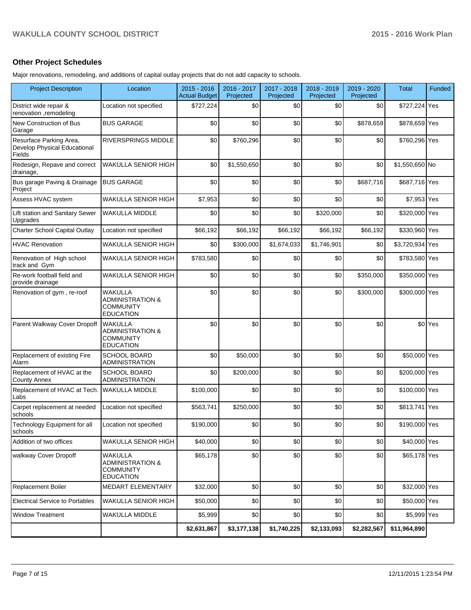# **Other Project Schedules**

Major renovations, remodeling, and additions of capital outlay projects that do not add capacity to schools.

| <b>Project Description</b>                                        | Location                                                                              | 2015 - 2016<br><b>Actual Budget</b> | 2016 - 2017<br>Projected | 2017 - 2018<br>Projected | 2018 - 2019<br>Projected | 2019 - 2020<br>Projected | <b>Total</b>    | Funded  |
|-------------------------------------------------------------------|---------------------------------------------------------------------------------------|-------------------------------------|--------------------------|--------------------------|--------------------------|--------------------------|-----------------|---------|
| District wide repair &<br>renovation ,remodeling                  | Location not specified                                                                | \$727,224                           | \$0                      | \$0                      | \$0                      | \$0                      | \$727,224 Yes   |         |
| New Construction of Bus<br>Garage                                 | <b>BUS GARAGE</b>                                                                     | \$0                                 | \$0                      | \$0                      | \$0                      | \$878,659                | \$878,659 Yes   |         |
| Resurface Parking Area,<br>Develop Physical Educational<br>Fields | RIVERSPRINGS MIDDLE                                                                   | \$0                                 | \$760,296                | \$0                      | \$0                      | \$0                      | \$760,296 Yes   |         |
| Redesign, Repave and correct<br>drainage,                         | <b>WAKULLA SENIOR HIGH</b>                                                            | \$0                                 | \$1,550,650              | \$0                      | \$0                      | \$0                      | \$1,550,650 No  |         |
| Bus garage Paving & Drainage<br>Project                           | <b>BUS GARAGE</b>                                                                     | \$0                                 | \$0                      | \$0                      | \$0                      | \$687,716                | \$687,716 Yes   |         |
| Assess HVAC system                                                | <b>WAKULLA SENIOR HIGH</b>                                                            | \$7,953                             | \$0                      | \$0                      | \$0                      | \$0                      | \$7,953 Yes     |         |
| Lift station and Sanitary Sewer<br>Upgrades                       | <b>WAKULLA MIDDLE</b>                                                                 | \$0                                 | \$0                      | \$0                      | \$320,000                | \$0                      | \$320,000 Yes   |         |
| <b>Charter School Capital Outlay</b>                              | Location not specified                                                                | \$66,192                            | \$66,192                 | \$66,192                 | \$66,192                 | \$66,192                 | \$330,960 Yes   |         |
| <b>HVAC Renovation</b>                                            | WAKULLA SENIOR HIGH                                                                   | \$0                                 | \$300,000                | \$1,674,033              | \$1,746,901              | \$0                      | \$3,720,934 Yes |         |
| Renovation of High school<br>track and Gym                        | <b>WAKULLA SENIOR HIGH</b>                                                            | \$783,580                           | \$0                      | \$0                      | \$0                      | \$0                      | \$783,580 Yes   |         |
| Re-work football field and<br>provide drainage                    | <b>WAKULLA SENIOR HIGH</b>                                                            | \$0                                 | \$0                      | \$0                      | \$0                      | \$350,000                | \$350,000 Yes   |         |
| Renovation of gym, re-roof                                        | <b>WAKULLA</b><br><b>ADMINISTRATION &amp;</b><br><b>COMMUNITY</b><br><b>EDUCATION</b> | \$0                                 | \$0                      | \$0                      | \$0                      | \$300,000                | \$300,000 Yes   |         |
| Parent Walkway Cover Dropoff                                      | <b>WAKULLA</b><br><b>ADMINISTRATION &amp;</b><br><b>COMMUNITY</b><br><b>EDUCATION</b> | \$0                                 | \$0                      | \$0                      | \$0                      | \$0                      |                 | \$0 Yes |
| Replacement of existing Fire<br>Alarm                             | <b>SCHOOL BOARD</b><br>ADMINISTRATION                                                 | \$0                                 | \$50,000                 | \$0                      | \$0                      | \$0                      | \$50,000 Yes    |         |
| Replacement of HVAC at the<br><b>County Annex</b>                 | <b>SCHOOL BOARD</b><br><b>ADMINISTRATION</b>                                          | \$0                                 | \$200,000                | \$0                      | \$0                      | \$0                      | \$200,000 Yes   |         |
| Replacement of HVAC at Tech.<br>Labs                              | <b>WAKULLA MIDDLE</b>                                                                 | \$100,000                           | \$0                      | \$0                      | \$0                      | \$0                      | \$100,000 Yes   |         |
| Carpet replacement at needed<br>schools                           | Location not specified                                                                | \$563,741                           | \$250,000                | \$0                      | \$0                      | \$0                      | \$813,741 Yes   |         |
| Technology Equipment for all<br>schools                           | Location not specified                                                                | \$190,000                           | \$0l                     | \$0                      | \$0                      | \$0                      | \$190,000 Yes   |         |
| Addition of two offices                                           | WAKULLA SENIOR HIGH                                                                   | \$40,000                            | \$0                      | \$0                      | \$0                      | \$0                      | \$40,000 Yes    |         |
| walkway Cover Dropoff                                             | WAKULLA<br><b>ADMINISTRATION &amp;</b><br><b>COMMUNITY</b><br><b>EDUCATION</b>        | \$65,178                            | \$0                      | \$0                      | \$0                      | \$0                      | \$65,178 Yes    |         |
| <b>Replacement Boiler</b>                                         | MEDART ELEMENTARY                                                                     | \$32,000                            | \$0                      | \$0                      | \$0                      | \$0                      | \$32,000 Yes    |         |
| <b>Electrical Service to Portables</b>                            | <b>WAKULLA SENIOR HIGH</b>                                                            | \$50,000                            | \$0                      | \$0                      | \$0                      | \$0                      | \$50,000 Yes    |         |
| <b>Window Treatment</b>                                           | WAKULLA MIDDLE                                                                        | \$5,999                             | \$0                      | \$0                      | \$0                      | \$0                      | \$5,999 Yes     |         |
|                                                                   |                                                                                       | \$2,631,867                         | \$3,177,138              | \$1,740,225              | \$2,133,093              | \$2,282,567              | \$11,964,890    |         |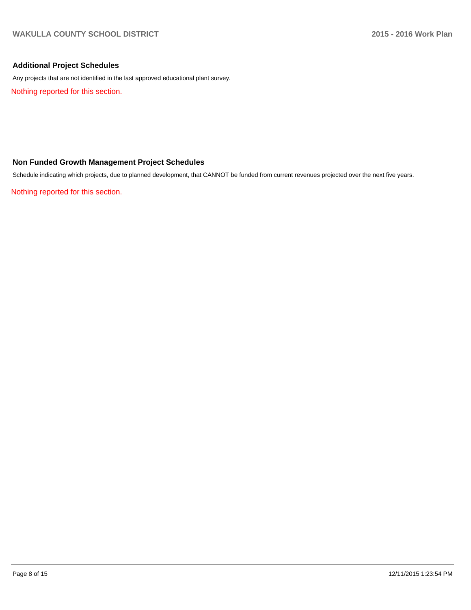## **Additional Project Schedules**

Any projects that are not identified in the last approved educational plant survey.

Nothing reported for this section.

# **Non Funded Growth Management Project Schedules**

Schedule indicating which projects, due to planned development, that CANNOT be funded from current revenues projected over the next five years.

Nothing reported for this section.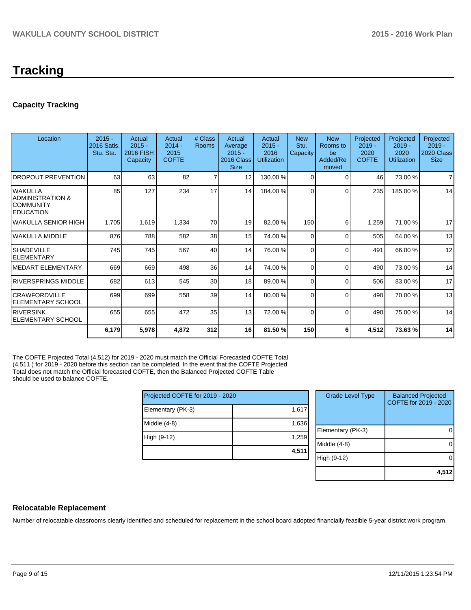# **Tracking**

# **Capacity Tracking**

| Location                                                                | $2015 -$<br>2016 Satis.<br>Stu. Sta. | Actual<br>$2015 -$<br><b>2016 FISH</b><br>Capacity | Actual<br>$2014 -$<br>2015<br><b>COFTE</b> | # Class<br>Rooms | Actual<br>Average<br>$2015 -$<br>2016 Class<br><b>Size</b> | Actual<br>$2015 -$<br>2016<br><b>Utilization</b> | <b>New</b><br>Stu.<br>Capacity | <b>New</b><br>Rooms to<br>be<br>Added/Re<br>moved | Projected<br>$2019 -$<br>2020<br><b>COFTE</b> | Projected<br>$2019 -$<br>2020<br><b>Utilization</b> | Projected<br>$2019 -$<br>2020 Class<br><b>Size</b> |
|-------------------------------------------------------------------------|--------------------------------------|----------------------------------------------------|--------------------------------------------|------------------|------------------------------------------------------------|--------------------------------------------------|--------------------------------|---------------------------------------------------|-----------------------------------------------|-----------------------------------------------------|----------------------------------------------------|
| <b>DROPOUT PREVENTION</b>                                               | 63                                   | 63                                                 | 82                                         | $\overline{7}$   | 12                                                         | 130.00 %                                         | $\Omega$                       | $\Omega$                                          | 46                                            | 73.00 %                                             | $\overline{7}$                                     |
| <b>l</b> WAKULLA<br>ADMINISTRATION &<br>ICOMMUNITY<br><b>IEDUCATION</b> | 85                                   | 127                                                | 234                                        | 17               | 14                                                         | 184.00 %                                         | $\Omega$                       | $\Omega$                                          | 235                                           | 185.00 %                                            | 14                                                 |
| lwakulla SENIOR HIGH                                                    | 1,705                                | 1,619                                              | 1,334                                      | 70               | 19                                                         | 82.00 %                                          | 150                            | 6                                                 | 1,259                                         | 71.00 %                                             | 17                                                 |
| lwakulla middle                                                         | 876                                  | 788                                                | 582                                        | 38               | 15                                                         | 74.00 %                                          | $\Omega$                       | $\Omega$                                          | 505                                           | 64.00 %                                             | 13                                                 |
| ISHADFVILLE<br><b>IELEMENTARY</b>                                       | 745                                  | 745                                                | 567                                        | 40               | 14                                                         | 76.00 %                                          | $\Omega$                       | $\Omega$                                          | 491                                           | 66.00 %                                             | 12                                                 |
| IMEDART ELEMENTARY                                                      | 669                                  | 669                                                | 498                                        | 36               | 14                                                         | 74.00 %                                          | $\Omega$                       | $\Omega$                                          | 490                                           | 73.00 %                                             | 14                                                 |
| IRIVERSPRINGS MIDDLE                                                    | 682                                  | 613                                                | 545                                        | 30 <sup>1</sup>  | 18 <sup>1</sup>                                            | 89.00 %                                          | $\Omega$                       | $\Omega$                                          | 506                                           | 83.00 %                                             | 17                                                 |
| ICRAWFORDVILLE<br>IELEMENTARY SCHOOL                                    | 699                                  | 699                                                | 558                                        | 39               | 14                                                         | 80.00 %                                          | $\Omega$                       | $\Omega$                                          | 490                                           | 70.00 %                                             | 13                                                 |
| <b>IRIVERSINK</b><br><b>ELEMENTARY SCHOOL</b>                           | 655                                  | 655                                                | 472                                        | 35               | 13                                                         | 72.00 %                                          | $\Omega$                       | $\Omega$                                          | 490                                           | 75.00 %                                             | 14                                                 |
|                                                                         | 6,179                                | 5,978                                              | 4,872                                      | 312              | 16                                                         | 81.50 %                                          | 150                            | 6                                                 | 4,512                                         | 73.63%                                              | 14                                                 |

The COFTE Projected Total (4,512) for 2019 - 2020 must match the Official Forecasted COFTE Total (4,511 ) for 2019 - 2020 before this section can be completed. In the event that the COFTE Projected Total does not match the Official forecasted COFTE, then the Balanced Projected COFTE Table should be used to balance COFTE.

| Projected COFTE for 2019 - 2020 |  |  |  |  |  |
|---------------------------------|--|--|--|--|--|
| 1,617                           |  |  |  |  |  |
| 1,636                           |  |  |  |  |  |
| 1,259                           |  |  |  |  |  |
| 4,511                           |  |  |  |  |  |
|                                 |  |  |  |  |  |

| <b>Grade Level Type</b> | <b>Balanced Projected</b><br>COFTE for 2019 - 2020 |
|-------------------------|----------------------------------------------------|
| Elementary (PK-3)       |                                                    |
| Middle $(4-8)$          |                                                    |
| High (9-12)             |                                                    |
|                         | 4,512                                              |

# **Relocatable Replacement**

Number of relocatable classrooms clearly identified and scheduled for replacement in the school board adopted financially feasible 5-year district work program.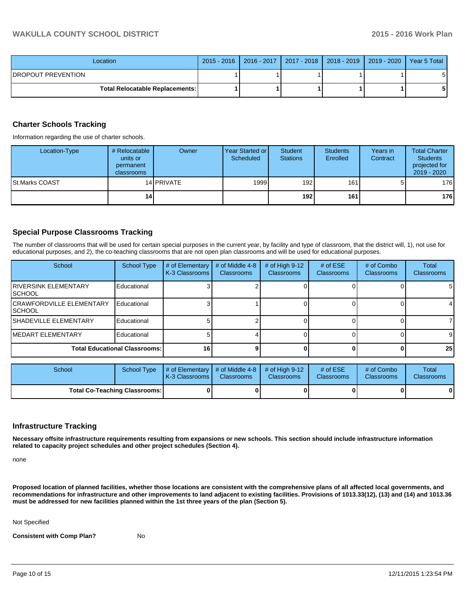| Location                                 | 2015 - 2016   2016 - 2017   2017 - 2018   2018 - 2019   2019 - 2020   Year 5 Total |  |  |
|------------------------------------------|------------------------------------------------------------------------------------|--|--|
| IDROPOUT PREVENTION                      |                                                                                    |  |  |
| <b>Total Relocatable Replacements: I</b> |                                                                                    |  |  |

### **Charter Schools Tracking**

Information regarding the use of charter schools.

| Location-Type         | # Relocatable  <br>units or<br>permanent<br>classrooms | Owner      | Year Started or I<br>Scheduled | Student<br><b>Stations</b> | <b>Students</b><br>Enrolled | Years in<br>Contract | <b>Total Charter</b><br><b>Students</b><br>projected for<br>2019 - 2020 |
|-----------------------|--------------------------------------------------------|------------|--------------------------------|----------------------------|-----------------------------|----------------------|-------------------------------------------------------------------------|
| <b>St.Marks COAST</b> |                                                        | 14 PRIVATE | 1999                           | 192 <sub>l</sub>           | 161                         |                      | 176                                                                     |
|                       | 14                                                     |            |                                | 192 l                      | 161                         |                      | 176                                                                     |

### **Special Purpose Classrooms Tracking**

The number of classrooms that will be used for certain special purposes in the current year, by facility and type of classroom, that the district will, 1), not use for educational purposes, and 2), the co-teaching classrooms that are not open plan classrooms and will be used for educational purposes.

| School                                      | <b>School Type</b> | # of Elementary<br>K-3 Classrooms | # of Middle 4-8<br><b>Classrooms</b> | # of High $9-12$<br><b>Classrooms</b> | # of $ESE$<br>Classrooms | # of Combo<br>Classrooms | Total<br><b>Classrooms</b> |
|---------------------------------------------|--------------------|-----------------------------------|--------------------------------------|---------------------------------------|--------------------------|--------------------------|----------------------------|
| <b>IRIVERSINK ELEMENTARY</b><br>ISCHOOL     | Educational        |                                   |                                      |                                       |                          |                          | 51                         |
| <b>ICRAWFORDVILLE ELEMENTARY</b><br>ISCHOOL | Educational        |                                   |                                      |                                       |                          |                          |                            |
| <b>ISHADEVILLE ELEMENTARY</b>               | Educational        |                                   |                                      |                                       |                          |                          |                            |
| IMEDART ELEMENTARY                          | Educational        |                                   |                                      |                                       |                          |                          |                            |
| <b>Total Educational Classrooms: I</b>      |                    | 16.                               |                                      |                                       |                          |                          | 25 <sub>1</sub>            |

| School                               | School Type | $\parallel$ # of Elementary $\parallel$ # of Middle 4-8 $\parallel$ # of High 9-12<br>K-3 Classrooms I | <b>Classrooms</b> | <b>Classrooms</b> | # of $ESE$<br><b>Classrooms</b> | # of Combo<br><b>Classrooms</b> | Total<br><b>Classrooms</b> |
|--------------------------------------|-------------|--------------------------------------------------------------------------------------------------------|-------------------|-------------------|---------------------------------|---------------------------------|----------------------------|
| <b>Total Co-Teaching Classrooms:</b> |             |                                                                                                        | 0                 |                   |                                 | 0                               | $\mathbf{0}$               |

#### **Infrastructure Tracking**

**Necessary offsite infrastructure requirements resulting from expansions or new schools. This section should include infrastructure information related to capacity project schedules and other project schedules (Section 4).**

none

**Proposed location of planned facilities, whether those locations are consistent with the comprehensive plans of all affected local governments, and recommendations for infrastructure and other improvements to land adjacent to existing facilities. Provisions of 1013.33(12), (13) and (14) and 1013.36 must be addressed for new facilities planned within the 1st three years of the plan (Section 5).**

Not Specified

**Consistent with Comp Plan?** No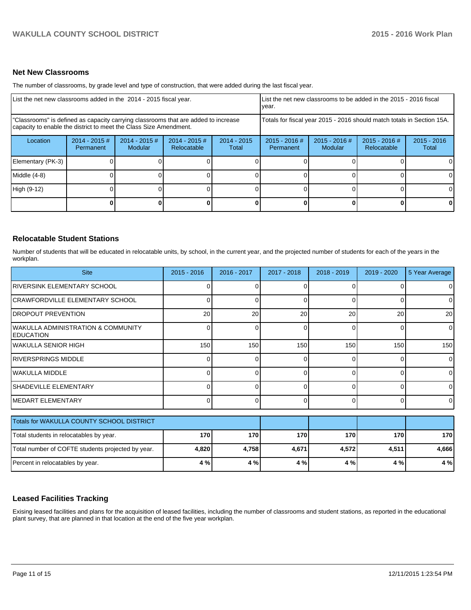# **Net New Classrooms**

The number of classrooms, by grade level and type of construction, that were added during the last fiscal year.

| List the net new classrooms added in the 2014 - 2015 fiscal year.                                                                                       |                               |                                   |                                | LList the net new classrooms to be added in the 2015 - 2016 fiscal<br>vear. |                                                                        |                                   |                                |                        |
|---------------------------------------------------------------------------------------------------------------------------------------------------------|-------------------------------|-----------------------------------|--------------------------------|-----------------------------------------------------------------------------|------------------------------------------------------------------------|-----------------------------------|--------------------------------|------------------------|
| "Classrooms" is defined as capacity carrying classrooms that are added to increase<br>capacity to enable the district to meet the Class Size Amendment. |                               |                                   |                                |                                                                             | Totals for fiscal year 2015 - 2016 should match totals in Section 15A. |                                   |                                |                        |
| Location                                                                                                                                                | $2014 - 2015 \#$<br>Permanent | $2014 - 2015$ #<br><b>Modular</b> | $2014 - 2015$ #<br>Relocatable | $2014 - 2015$<br>Total                                                      | $2015 - 2016$ #<br>Permanent                                           | $2015 - 2016$ #<br><b>Modular</b> | $2015 - 2016$ #<br>Relocatable | $2015 - 2016$<br>Total |
| Elementary (PK-3)                                                                                                                                       |                               |                                   |                                |                                                                             |                                                                        |                                   |                                | 0                      |
| Middle (4-8)                                                                                                                                            |                               |                                   |                                |                                                                             |                                                                        |                                   |                                | 0                      |
| High (9-12)                                                                                                                                             |                               |                                   |                                |                                                                             |                                                                        |                                   |                                | 0                      |
|                                                                                                                                                         |                               |                                   |                                |                                                                             |                                                                        |                                   |                                | 0                      |

# **Relocatable Student Stations**

Number of students that will be educated in relocatable units, by school, in the current year, and the projected number of students for each of the years in the workplan.

| <b>Site</b>                                             | 2015 - 2016     | 2016 - 2017 | 2017 - 2018 | 2018 - 2019 | 2019 - 2020 | 5 Year Average |
|---------------------------------------------------------|-----------------|-------------|-------------|-------------|-------------|----------------|
| RIVERSINK ELEMENTARY SCHOOL                             |                 |             |             |             |             | 0              |
| CRAWFORDVILLE ELEMENTARY SCHOOL                         | $\Omega$        | 0           | 0           | $\Omega$    | 0           | 0              |
| <b>DROPOUT PREVENTION</b>                               | 20 <sup>1</sup> | 20          | 20          | 20          | 20          | 20             |
| WAKULLA ADMINISTRATION & COMMUNITY<br><b>IEDUCATION</b> | $\Omega$        | 0           | 0           | $\Omega$    | 0           | $\Omega$       |
| IWAKULLA SENIOR HIGH                                    | 150             | 150         | 150         | 150         | 150         | 150            |
| IRIVERSPRINGS MIDDLE                                    | $\overline{0}$  | U           | 0           | 0           | 0           | 0              |
| lwakulla middle                                         | Ωl              | n           | 0           | $\Omega$    | $\Omega$    | $\Omega$       |
| <b>SHADEVILLE ELEMENTARY</b>                            | 01              | n           | 0           | $\Omega$    | $\Omega$    | $\Omega$       |
| MEDART ELEMENTARY                                       | Ωl              | ∩           | 0           | $\Omega$    | $\Omega$    | $\Omega$       |
| Totals for WAKULLA COUNTY SCHOOL DISTRICT               |                 |             |             |             |             |                |
| Total students in relocatables by year.                 | 170             | 170         | 170         | 170         | 170         | 170            |
| Total number of COFTE students projected by year.       | 4,820           | 4,758       | 4,671       | 4,572       | 4,511       | 4,666          |
| Percent in relocatables by year.                        | 4 %             | 4 %         | 4 %         | 4 %         | 4 %         | 4 %            |

# **Leased Facilities Tracking**

Exising leased facilities and plans for the acquisition of leased facilities, including the number of classrooms and student stations, as reported in the educational plant survey, that are planned in that location at the end of the five year workplan.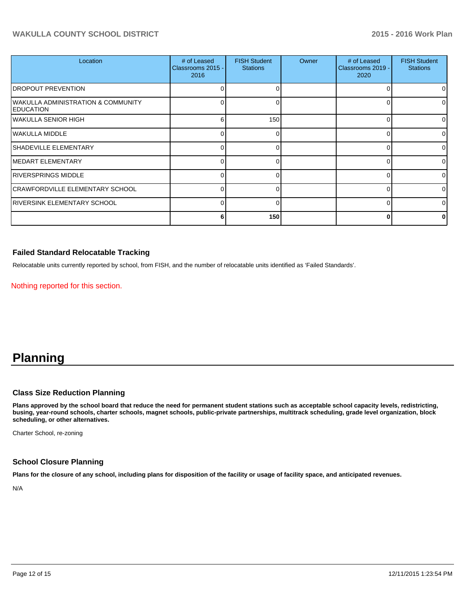# **WAKULLA COUNTY SCHOOL DISTRICT 2015 - 2016 Work Plan**

| Location                                                          | # of Leased<br>Classrooms 2015 -<br>2016 | <b>FISH Student</b><br><b>Stations</b> | Owner | # of Leased<br>Classrooms 2019 -<br>2020 | <b>FISH Student</b><br><b>Stations</b> |
|-------------------------------------------------------------------|------------------------------------------|----------------------------------------|-------|------------------------------------------|----------------------------------------|
| DROPOUT PREVENTION                                                | ∩∣                                       | U                                      |       |                                          | $\overline{0}$                         |
| <b>WAKULLA ADMINISTRATION &amp; COMMUNITY</b><br><b>EDUCATION</b> | $\Omega$                                 |                                        |       |                                          | $\overline{0}$                         |
| <b>WAKULLA SENIOR HIGH</b>                                        | 6                                        | 150                                    |       |                                          | $\Omega$                               |
| <b>WAKULLA MIDDLE</b>                                             |                                          |                                        |       |                                          | ΩI                                     |
| SHADEVILLE ELEMENTARY                                             | ΩI                                       |                                        |       |                                          | $\Omega$                               |
| <b>MEDART ELEMENTARY</b>                                          | $\cap$                                   | ∩                                      |       |                                          | $\Omega$                               |
| <b>RIVERSPRINGS MIDDLE</b>                                        | $\cap$                                   | U                                      |       |                                          | $\Omega$                               |
| <b>CRAWFORDVILLE ELEMENTARY SCHOOL</b>                            | ∩                                        |                                        |       |                                          | $\Omega$                               |
| RIVERSINK ELEMENTARY SCHOOL                                       | ∩                                        |                                        |       |                                          | $\Omega$                               |
|                                                                   | 6                                        | <b>150</b>                             |       |                                          | 0                                      |

#### **Failed Standard Relocatable Tracking**

Relocatable units currently reported by school, from FISH, and the number of relocatable units identified as 'Failed Standards'.

Nothing reported for this section.

# **Planning**

#### **Class Size Reduction Planning**

**Plans approved by the school board that reduce the need for permanent student stations such as acceptable school capacity levels, redistricting, busing, year-round schools, charter schools, magnet schools, public-private partnerships, multitrack scheduling, grade level organization, block scheduling, or other alternatives.**

Charter School, re-zoning

#### **School Closure Planning**

**Plans for the closure of any school, including plans for disposition of the facility or usage of facility space, and anticipated revenues.**

N/A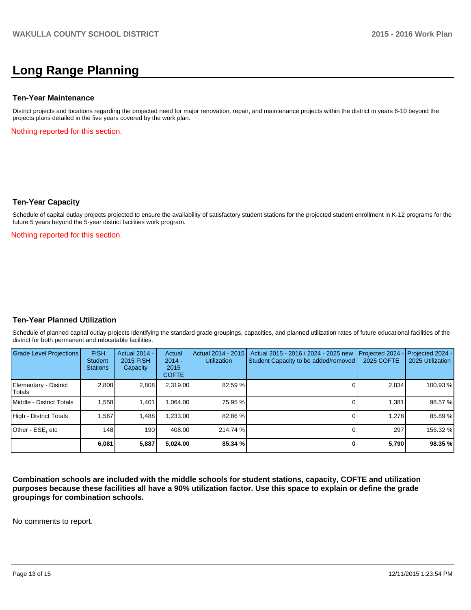# **Long Range Planning**

#### **Ten-Year Maintenance**

District projects and locations regarding the projected need for major renovation, repair, and maintenance projects within the district in years 6-10 beyond the projects plans detailed in the five years covered by the work plan.

Nothing reported for this section.

#### **Ten-Year Capacity**

Schedule of capital outlay projects projected to ensure the availability of satisfactory student stations for the projected student enrollment in K-12 programs for the future 5 years beyond the 5-year district facilities work program.

Nothing reported for this section.

#### **Ten-Year Planned Utilization**

Schedule of planned capital outlay projects identifying the standard grade groupings, capacities, and planned utilization rates of future educational facilities of the district for both permanent and relocatable facilities.

| Grade Level Projections         | <b>FISH</b><br>Student<br><b>Stations</b> | Actual 2014 -<br>2015 FISH<br>Capacity | Actual<br>$2014 -$<br>2015<br><b>COFTE</b> | Actual 2014 - 2015<br><b>Utilization</b> | Actual 2015 - 2016 / 2024 - 2025 new<br>Student Capacity to be added/removed | Projected 2024<br>2025 COFTE | Projected 2024 -<br>2025 Utilization |
|---------------------------------|-------------------------------------------|----------------------------------------|--------------------------------------------|------------------------------------------|------------------------------------------------------------------------------|------------------------------|--------------------------------------|
| Elementary - District<br>Totals | 2,808                                     | 2,808                                  | 2,319.00                                   | 82.59 %                                  |                                                                              | 2,834                        | 100.93%                              |
| Middle - District Totals        | 1.558                                     | 1.401                                  | ا064.00. ا                                 | 75.95 %                                  |                                                                              | 1.381                        | 98.57 %                              |
| High - District Totals          | 1.567                                     | 1.488                                  | .233.00                                    | 82.86 %                                  |                                                                              | 1.278                        | 85.89 %                              |
| Other - ESE, etc                | 148                                       | 190                                    | 408.00                                     | 214.74 %                                 |                                                                              | 297                          | 156.32 %                             |
|                                 | 6,081                                     | 5,887                                  | 5,024.00                                   | 85.34 %                                  |                                                                              | 5,790                        | 98.35 %                              |

**Combination schools are included with the middle schools for student stations, capacity, COFTE and utilization purposes because these facilities all have a 90% utilization factor. Use this space to explain or define the grade groupings for combination schools.**

No comments to report.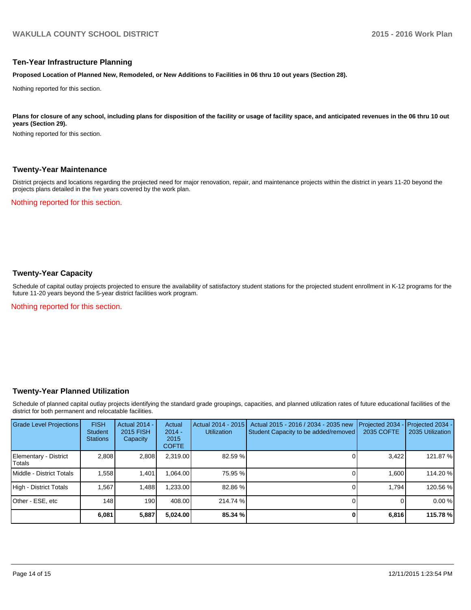#### **Ten-Year Infrastructure Planning**

**Proposed Location of Planned New, Remodeled, or New Additions to Facilities in 06 thru 10 out years (Section 28).**

Nothing reported for this section.

Plans for closure of any school, including plans for disposition of the facility or usage of facility space, and anticipated revenues in the 06 thru 10 out **years (Section 29).**

Nothing reported for this section.

#### **Twenty-Year Maintenance**

District projects and locations regarding the projected need for major renovation, repair, and maintenance projects within the district in years 11-20 beyond the projects plans detailed in the five years covered by the work plan.

Nothing reported for this section.

## **Twenty-Year Capacity**

Schedule of capital outlay projects projected to ensure the availability of satisfactory student stations for the projected student enrollment in K-12 programs for the future 11-20 years beyond the 5-year district facilities work program.

Nothing reported for this section.

#### **Twenty-Year Planned Utilization**

Schedule of planned capital outlay projects identifying the standard grade groupings, capacities, and planned utilization rates of future educational facilities of the district for both permanent and relocatable facilities.

| <b>Grade Level Projections</b>  | <b>FISH</b><br><b>Student</b><br><b>Stations</b> | <b>Actual 2014 -</b><br>2015 FISH<br>Capacity | Actual<br>$2014 -$<br>2015<br><b>COFTE</b> | Actual 2014 - 2015<br><b>Utilization</b> | Actual 2015 - 2016 / 2034 - 2035 new<br>Student Capacity to be added/removed | Projected 2034<br>2035 COFTE | Projected 2034 -<br>2035 Utilization |
|---------------------------------|--------------------------------------------------|-----------------------------------------------|--------------------------------------------|------------------------------------------|------------------------------------------------------------------------------|------------------------------|--------------------------------------|
| Elementary - District<br>Totals | 2.808                                            | 2,808                                         | 2,319.00                                   | 82.59 %                                  |                                                                              | 3,422                        | 121.87 %                             |
| Middle - District Totals        | 1.558                                            | 1.401                                         | 1.064.00                                   | 75.95 %                                  |                                                                              | 1.600                        | 114.20 %                             |
| High - District Totals          | .567                                             | 1.488                                         | 1.233.00                                   | 82.86 %                                  |                                                                              | 1.794                        | 120.56 %                             |
| Other - ESE, etc                | 148                                              | 190                                           | 408.00                                     | 214.74 %                                 |                                                                              |                              | 0.00%                                |
|                                 | 6,081                                            | 5,887                                         | 5,024.00                                   | 85.34 %                                  |                                                                              | 6,816                        | 115.78 %                             |